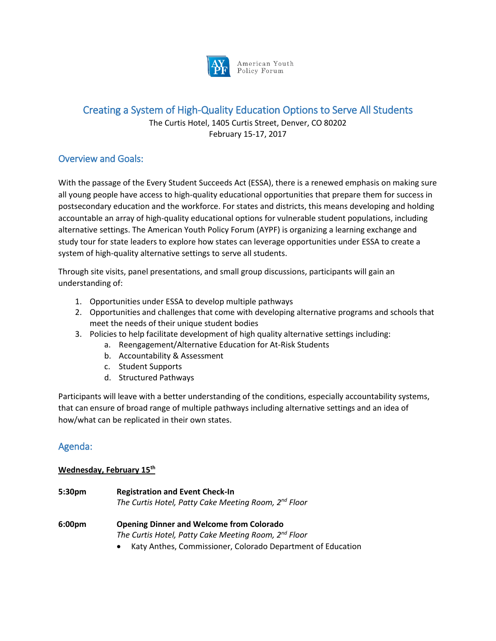

American Youth Policy Forum

# Creating a System of High-Quality Education Options to Serve All Students

The Curtis Hotel, 1405 Curtis Street, Denver, CO 80202 February 15-17, 2017

# Overview and Goals:

With the passage of the Every Student Succeeds Act (ESSA), there is a renewed emphasis on making sure all young people have access to high-quality educational opportunities that prepare them for success in postsecondary education and the workforce. For states and districts, this means developing and holding accountable an array of high-quality educational options for vulnerable student populations, including alternative settings. The American Youth Policy Forum (AYPF) is organizing a learning exchange and study tour for state leaders to explore how states can leverage opportunities under ESSA to create a system of high-quality alternative settings to serve all students.

Through site visits, panel presentations, and small group discussions, participants will gain an understanding of:

- 1. Opportunities under ESSA to develop multiple pathways
- 2. Opportunities and challenges that come with developing alternative programs and schools that meet the needs of their unique student bodies
- 3. Policies to help facilitate development of high quality alternative settings including:
	- a. Reengagement/Alternative Education for At-Risk Students
	- b. Accountability & Assessment
	- c. Student Supports
	- d. Structured Pathways

Participants will leave with a better understanding of the conditions, especially accountability systems, that can ensure of broad range of multiple pathways including alternative settings and an idea of how/what can be replicated in their own states.

# Agenda:

# **Wednesday, February 15th**

- **5:30pm Registration and Event Check-In**  *The Curtis Hotel, Patty Cake Meeting Room, 2nd Floor* **6:00pm Opening Dinner and Welcome from Colorado** *The Curtis Hotel, Patty Cake Meeting Room, 2nd Floor*
	- x Katy Anthes, Commissioner, Colorado Department of Education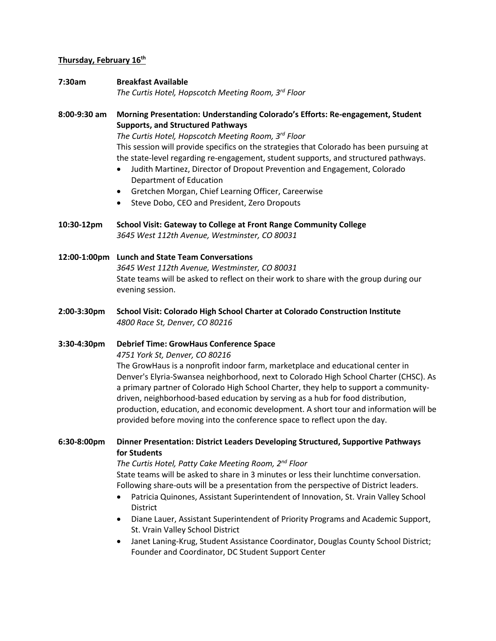### **Thursday, February 16th**

**7:30am Breakfast Available**  *The Curtis Hotel, Hopscotch Meeting Room, 3rd Floor*

**8:00-9:30 am Morning Presentation: Understanding Colorado's Efforts: Re-engagement, Student Supports, and Structured Pathways**

> *The Curtis Hotel, Hopscotch Meeting Room, 3rd Floor* This session will provide specifics on the strategies that Colorado has been pursuing at the state-level regarding re-engagement, student supports, and structured pathways.

- Judith Martinez, Director of Dropout Prevention and Engagement, Colorado Department of Education
- **•** Gretchen Morgan, Chief Learning Officer, Careerwise
- Steve Dobo, CEO and President, Zero Dropouts
- **10:30-12pm School Visit: Gateway to College at Front Range Community College** *3645 West 112th Avenue, Westminster, CO 80031*

**12:00-1:00pm Lunch and State Team Conversations** *3645 West 112th Avenue, Westminster, CO 80031* State teams will be asked to reflect on their work to share with the group during our evening session.

**2:00-3:30pm School Visit: Colorado High School Charter at Colorado Construction Institute** *4800 Race St, Denver, CO 80216*

### **3:30-4:30pm Debrief Time: GrowHaus Conference Space**

*4751 York St, Denver, CO 80216*

The GrowHaus is a nonprofit indoor farm, marketplace and educational center in Denver's Elyria-Swansea neighborhood, next to Colorado High School Charter (CHSC). As a primary partner of Colorado High School Charter, they help to support a communitydriven, neighborhood-based education by serving as a hub for food distribution, production, education, and economic development. A short tour and information will be provided before moving into the conference space to reflect upon the day.

## **6:30-8:00pm Dinner Presentation: District Leaders Developing Structured, Supportive Pathways for Students**

*The Curtis Hotel, Patty Cake Meeting Room, 2nd Floor* State teams will be asked to share in 3 minutes or less their lunchtime conversation. Following share-outs will be a presentation from the perspective of District leaders.

- Patricia Quinones, Assistant Superintendent of Innovation, St. Vrain Valley School District
- Diane Lauer, Assistant Superintendent of Priority Programs and Academic Support, St. Vrain Valley School District
- Janet Laning-Krug, Student Assistance Coordinator, Douglas County School District; Founder and Coordinator, DC Student Support Center